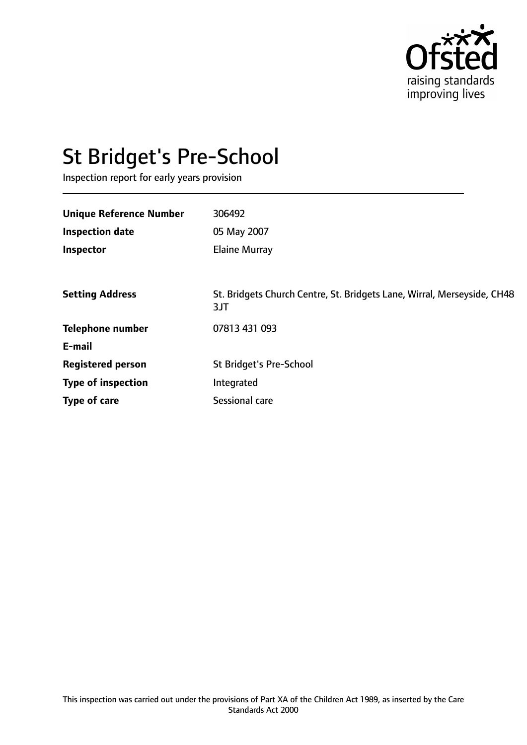

# St Bridget's Pre-School

Inspection report for early years provision

| <b>Unique Reference Number</b> | 306492                                                                         |
|--------------------------------|--------------------------------------------------------------------------------|
| <b>Inspection date</b>         | 05 May 2007                                                                    |
| Inspector                      | <b>Elaine Murray</b>                                                           |
|                                |                                                                                |
| <b>Setting Address</b>         | St. Bridgets Church Centre, St. Bridgets Lane, Wirral, Merseyside, CH48<br>3JT |
| <b>Telephone number</b>        | 07813 431 093                                                                  |
| E-mail                         |                                                                                |
| <b>Registered person</b>       | <b>St Bridget's Pre-School</b>                                                 |
| <b>Type of inspection</b>      | Integrated                                                                     |
| Type of care                   | Sessional care                                                                 |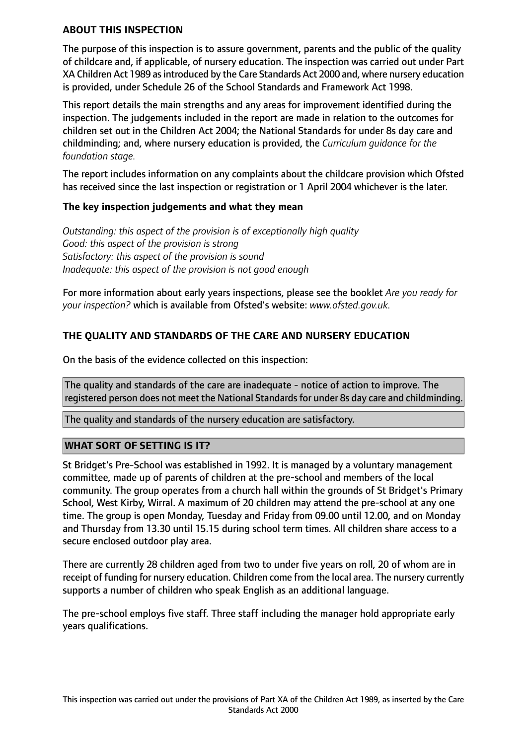#### **ABOUT THIS INSPECTION**

The purpose of this inspection is to assure government, parents and the public of the quality of childcare and, if applicable, of nursery education. The inspection was carried out under Part XA Children Act 1989 asintroduced by the Care Standards Act 2000 and, where nursery education is provided, under Schedule 26 of the School Standards and Framework Act 1998.

This report details the main strengths and any areas for improvement identified during the inspection. The judgements included in the report are made in relation to the outcomes for children set out in the Children Act 2004; the National Standards for under 8s day care and childminding; and, where nursery education is provided, the *Curriculum guidance for the foundation stage.*

The report includes information on any complaints about the childcare provision which Ofsted has received since the last inspection or registration or 1 April 2004 whichever is the later.

#### **The key inspection judgements and what they mean**

*Outstanding: this aspect of the provision is of exceptionally high quality Good: this aspect of the provision is strong Satisfactory: this aspect of the provision is sound Inadequate: this aspect of the provision is not good enough*

For more information about early years inspections, please see the booklet *Are you ready for your inspection?* which is available from Ofsted's website: *www.ofsted.gov.uk.*

## **THE QUALITY AND STANDARDS OF THE CARE AND NURSERY EDUCATION**

On the basis of the evidence collected on this inspection:

The quality and standards of the care are inadequate - notice of action to improve. The registered person does not meet the National Standards for under 8s day care and childminding.

The quality and standards of the nursery education are satisfactory.

#### **WHAT SORT OF SETTING IS IT?**

St Bridget's Pre-School was established in 1992. It is managed by a voluntary management committee, made up of parents of children at the pre-school and members of the local community. The group operates from a church hall within the grounds of St Bridget's Primary School, West Kirby, Wirral. A maximum of 20 children may attend the pre-school at any one time. The group is open Monday, Tuesday and Friday from 09.00 until 12.00, and on Monday and Thursday from 13.30 until 15.15 during school term times. All children share access to a secure enclosed outdoor play area.

There are currently 28 children aged from two to under five years on roll, 20 of whom are in receipt of funding for nursery education. Children come from the local area. The nursery currently supports a number of children who speak English as an additional language.

The pre-school employs five staff. Three staff including the manager hold appropriate early years qualifications.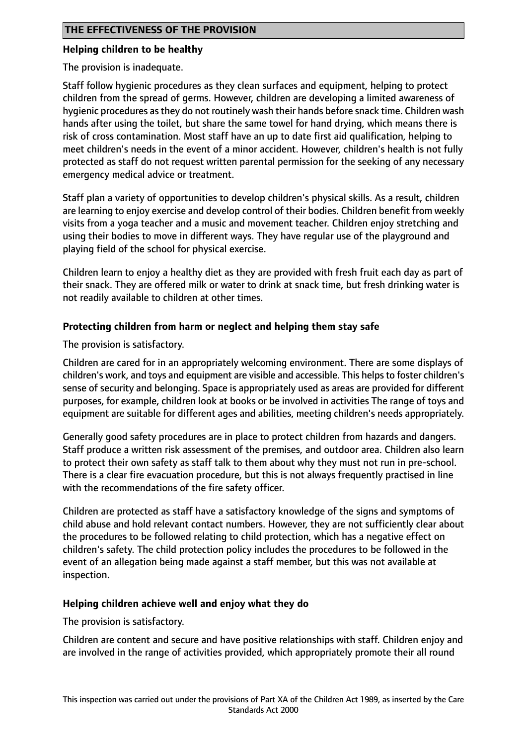#### **Helping children to be healthy**

The provision is inadequate.

Staff follow hygienic procedures as they clean surfaces and equipment, helping to protect children from the spread of germs. However, children are developing a limited awareness of hygienic procedures asthey do not routinely wash their hands before snack time. Children wash hands after using the toilet, but share the same towel for hand drying, which means there is risk of cross contamination. Most staff have an up to date first aid qualification, helping to meet children's needs in the event of a minor accident. However, children's health is not fully protected as staff do not request written parental permission for the seeking of any necessary emergency medical advice or treatment.

Staff plan a variety of opportunities to develop children's physical skills. As a result, children are learning to enjoy exercise and develop control of their bodies. Children benefit from weekly visits from a yoga teacher and a music and movement teacher. Children enjoy stretching and using their bodies to move in different ways. They have regular use of the playground and playing field of the school for physical exercise.

Children learn to enjoy a healthy diet as they are provided with fresh fruit each day as part of their snack. They are offered milk or water to drink at snack time, but fresh drinking water is not readily available to children at other times.

## **Protecting children from harm or neglect and helping them stay safe**

The provision is satisfactory.

Children are cared for in an appropriately welcoming environment. There are some displays of children's work, and toys and equipment are visible and accessible. This helpsto foster children's sense of security and belonging. Space is appropriately used as areas are provided for different purposes, for example, children look at books or be involved in activities The range of toys and equipment are suitable for different ages and abilities, meeting children's needs appropriately.

Generally good safety procedures are in place to protect children from hazards and dangers. Staff produce a written risk assessment of the premises, and outdoor area. Children also learn to protect their own safety as staff talk to them about why they must not run in pre-school. There is a clear fire evacuation procedure, but this is not always frequently practised in line with the recommendations of the fire safety officer.

Children are protected as staff have a satisfactory knowledge of the signs and symptoms of child abuse and hold relevant contact numbers. However, they are not sufficiently clear about the procedures to be followed relating to child protection, which has a negative effect on children's safety. The child protection policy includes the procedures to be followed in the event of an allegation being made against a staff member, but this was not available at inspection.

#### **Helping children achieve well and enjoy what they do**

The provision is satisfactory.

Children are content and secure and have positive relationships with staff. Children enjoy and are involved in the range of activities provided, which appropriately promote their all round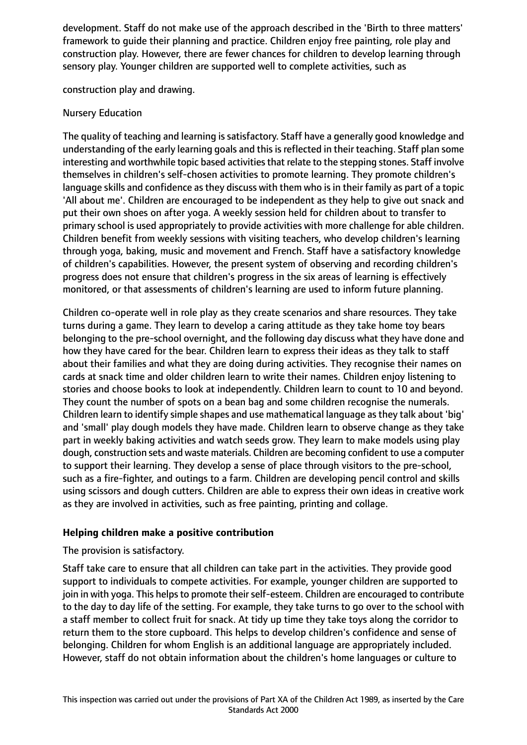development. Staff do not make use of the approach described in the 'Birth to three matters' framework to guide their planning and practice. Children enjoy free painting, role play and construction play. However, there are fewer chances for children to develop learning through sensory play. Younger children are supported well to complete activities, such as

construction play and drawing.

#### Nursery Education

The quality of teaching and learning is satisfactory. Staff have a generally good knowledge and understanding of the early learning goals and this is reflected in their teaching. Staff plan some interesting and worthwhile topic based activities that relate to the stepping stones. Staff involve themselves in children's self-chosen activities to promote learning. They promote children's language skills and confidence as they discuss with them who is in their family as part of a topic 'All about me'. Children are encouraged to be independent as they help to give out snack and put their own shoes on after yoga. A weekly session held for children about to transfer to primary school is used appropriately to provide activities with more challenge for able children. Children benefit from weekly sessions with visiting teachers, who develop children's learning through yoga, baking, music and movement and French. Staff have a satisfactory knowledge of children's capabilities. However, the present system of observing and recording children's progress does not ensure that children's progress in the six areas of learning is effectively monitored, or that assessments of children's learning are used to inform future planning.

Children co-operate well in role play as they create scenarios and share resources. They take turns during a game. They learn to develop a caring attitude as they take home toy bears belonging to the pre-school overnight, and the following day discuss what they have done and how they have cared for the bear. Children learn to express their ideas as they talk to staff about their families and what they are doing during activities. They recognise their names on cards at snack time and older children learn to write their names. Children enjoy listening to stories and choose books to look at independently. Children learn to count to 10 and beyond. They count the number of spots on a bean bag and some children recognise the numerals. Children learn to identify simple shapes and use mathematical language as they talk about 'big' and 'small' play dough models they have made. Children learn to observe change as they take part in weekly baking activities and watch seeds grow. They learn to make models using play dough, construction sets and waste materials. Children are becoming confident to use a computer to support their learning. They develop a sense of place through visitors to the pre-school, such as a fire-fighter, and outings to a farm. Children are developing pencil control and skills using scissors and dough cutters. Children are able to express their own ideas in creative work as they are involved in activities, such as free painting, printing and collage.

#### **Helping children make a positive contribution**

#### The provision is satisfactory.

Staff take care to ensure that all children can take part in the activities. They provide good support to individuals to compete activities. For example, younger children are supported to join in with yoga. This helps to promote their self-esteem. Children are encouraged to contribute to the day to day life of the setting. For example, they take turns to go over to the school with a staff member to collect fruit for snack. At tidy up time they take toys along the corridor to return them to the store cupboard. This helps to develop children's confidence and sense of belonging. Children for whom English is an additional language are appropriately included. However, staff do not obtain information about the children's home languages or culture to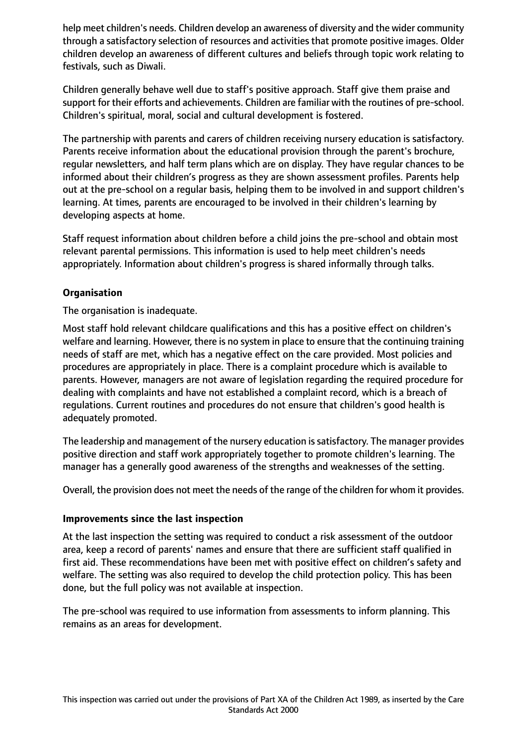help meet children's needs. Children develop an awareness of diversity and the wider community through a satisfactory selection of resources and activities that promote positive images. Older children develop an awareness of different cultures and beliefs through topic work relating to festivals, such as Diwali.

Children generally behave well due to staff's positive approach. Staff give them praise and support for their efforts and achievements. Children are familiar with the routines of pre-school. Children's spiritual, moral, social and cultural development is fostered.

The partnership with parents and carers of children receiving nursery education is satisfactory. Parents receive information about the educational provision through the parent's brochure, regular newsletters, and half term plans which are on display. They have regular chances to be informed about their children's progress as they are shown assessment profiles. Parents help out at the pre-school on a regular basis, helping them to be involved in and support children's learning. At times, parents are encouraged to be involved in their children's learning by developing aspects at home.

Staff request information about children before a child joins the pre-school and obtain most relevant parental permissions. This information is used to help meet children's needs appropriately. Information about children's progress is shared informally through talks.

## **Organisation**

The organisation is inadequate.

Most staff hold relevant childcare qualifications and this has a positive effect on children's welfare and learning. However, there is no system in place to ensure that the continuing training needs of staff are met, which has a negative effect on the care provided. Most policies and procedures are appropriately in place. There is a complaint procedure which is available to parents. However, managers are not aware of legislation regarding the required procedure for dealing with complaints and have not established a complaint record, which is a breach of regulations. Current routines and procedures do not ensure that children's good health is adequately promoted.

The leadership and management of the nursery education issatisfactory. The manager provides positive direction and staff work appropriately together to promote children's learning. The manager has a generally good awareness of the strengths and weaknesses of the setting.

Overall, the provision does not meet the needs of the range of the children for whom it provides.

#### **Improvements since the last inspection**

At the last inspection the setting was required to conduct a risk assessment of the outdoor area, keep a record of parents' names and ensure that there are sufficient staff qualified in first aid. These recommendations have been met with positive effect on children's safety and welfare. The setting was also required to develop the child protection policy. This has been done, but the full policy was not available at inspection.

The pre-school was required to use information from assessments to inform planning. This remains as an areas for development.